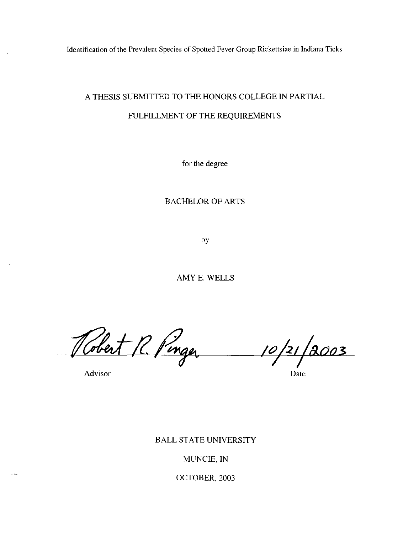Identification of the Prevalent Species of Spotted Fever Group Rickettsiae in Indiana Ticks

# A THESIS SUBMITTED TO THE HONORS COLLEGE IN PARTIAL FULFILLMENT OF THE REQUIREMENTS

for the degree

# BACHELOR OF ARTS

by

AMYE. WELLS

Robert R. Pinger

*If)* **hI** */aoo3 , T* **I** 

Advisor Date

 $\epsilon$  -sec. .

# BALL STATE UNIVERSITY

# MUNCIE, IN

## OCTOBER, 2003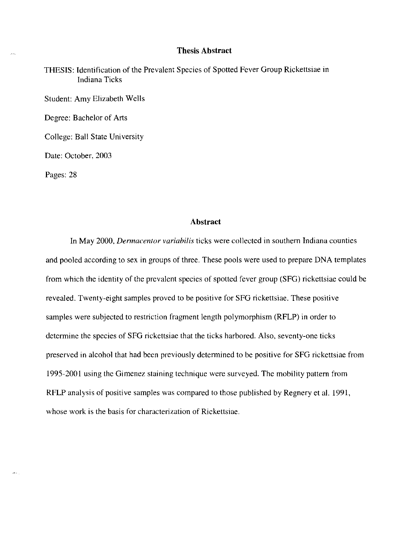## Thesis **Abstract**

THESIS: Identification of the Prevalent Species of Spotted Fever Group Rickettsiae in Indiana Ticks

Student: Amy Elizabeth Wells

Degree: Bachelor of Arts

College: Ball State Uni versity

Date: October, 2003

Pages: 28

#### **Abstract**

In May 2000, *Dennacentor variabilis* ticks were collected in southern Indiana counties and pooled according to sex in groups of three. These pools were used to prepare DNA templates from which the identity of the prevalent species of spotted fever group (SFG) rickettsiae could be revealed. Twenty-eight samples proved to be positive for SFG rickettsiae. These positive samples were subjected to restriction fragment length polymorphism (RFLP) in order to determine the species of SFG rickettsiae that the ticks harbored. Also, seventy-one ticks preserved in alcohol that had been previously determined to be positive for SFG rickettsiae from 1995-2001 using the Gimenez staining technique were surveyed. The mobility pattern from RFLP analysis of positive samples was compared to those published by Regnery et al. 1991, whose work is the basis for characterization of Rickettsiae.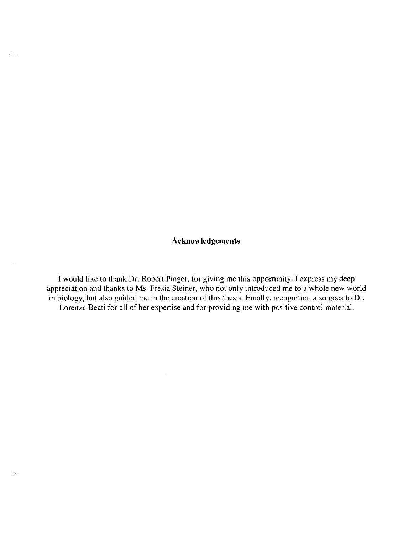# **Acknowledgements**

 $\left\langle \hat{\mathbf{u}}\right\rangle$  and

I would like to thank Dr. Robert Pinger, for giving me this opportunity. I express my deep appreciation and thanks to Ms. Fresia Steiner, who not only introduced me to a whole new world in biology, but also guided me in the creation of this thesis. Finally, recognition also goes to Dr. Lorenza Beati for all of her expertise and for providing me with positive control material.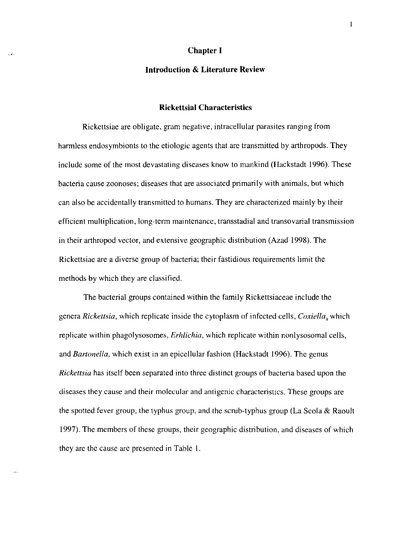#### **Chapter I**

# **Introduction & Literature Review**

## **Rickettsial Characteristics**

Rickettsiae are obligate, gram negative, intracellular parasites ranging from harmless endosymbionts to the etiologic agents that are transmitted by arthropods, They include some of the most devastating diseases know to mankind (Hackstadt 1996). These bacteria cause zoonoses; diseases that are associated primarily with animals, but which can also be accidentally transmitted to humans. They are characterized mainly by their efficient multiplication, long-term maintenance, transstadial and transovarial transmission in their arthropod vector, and extensive geographic distribution (Azad 1998). The Rickettsiae are a diverse group of bacteria; their fastidious requirements limit the methods by which they are classified.

The bacterial groups contained within the family Rickettsiaceae include the genera *Rickettsia,* which replicate inside the cytoplasm of infected cells, *Coxiella,* which replicate within phagolysosomes, *Erhlichia*, which replicate within nonlysosomal cells, and *Bartonella,* which exist in an epicellular fashion (Hackstadt 1996). The genus *Rickettsia* has itself been separated into three distinct groups of bacteria based upon the diseases they cause and their molecular and antigenic characteristics. These groups are the spotted fever group, the typhus group, and the scrub-typhus group (La Scola & Raoult 1997). The members of these groups, their geographic distribution, and diseases of which they are the cause are presented in Table 1.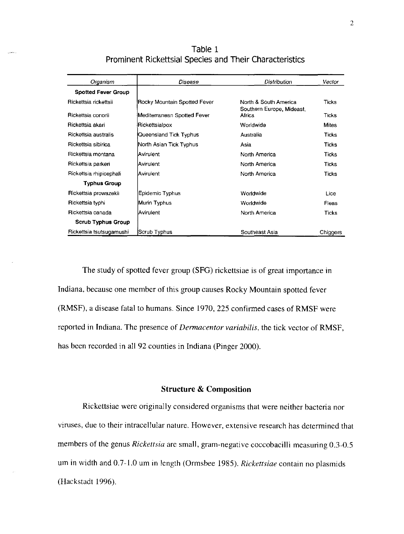Table 1 Prominent Rickettsial Species and Their Characteristics

.<br>Version

| Organism                   | Disease                      | Distribution                                       | Vector       |
|----------------------------|------------------------------|----------------------------------------------------|--------------|
| <b>Spotted Fever Group</b> |                              |                                                    |              |
| Rickettsia rickettsii      | Rocky Mountain Spotted Fever | North & South America<br>Southern Europe, Mideast, | Ticks        |
| Rickettsia conorii         | Mediterranean Spotted Fever  | Africa                                             | Ticks        |
| Rickettsia akari           | Rickettsialpox               | Worldwide                                          | <b>Mites</b> |
| Rickettsia australis       | Queensland Tick Typhus       | Australia                                          | <b>Ticks</b> |
| Rickettsia sibirica        | North Asian Tick Typhus      | Asia                                               | <b>Ticks</b> |
| Rickettsia montana         | Avirulent                    | North America                                      | Ticks        |
| Rickettsia parkeri         | lAvirulent                   | North America                                      | Ticks        |
| Rickettsia rhipicephali    | lAvirulent                   | North America                                      | <b>Ticks</b> |
| Typhus Group               |                              |                                                    |              |
| Rickettsia prowazekii      | Epidemic Typhus              | Worldwide                                          | Lice         |
| Rickettsia typhi           | Murin Typhus                 | Worldwide                                          | Fleas        |
| Rickettsia canada          | lAvirulent                   | North America                                      | <b>Ticks</b> |
| <b>Scrub Typhus Group</b>  |                              |                                                    |              |
| Rickettsia tsutsugamushi   | Scrub Typhus                 | Southeast Asia                                     | Chiggers     |

The study of spotted fever group (SFG) rickettsiae is of great importance in Indiana, because one member of this group causes Rocky Mountain spotted fever (RMSF), a disease fatal to humans, Since 1970, 225 confirmed cases of RMSF were reported in Indiana, The presence of *Dermacentor variabilis,* the tick vector of RMSF, has been recorded in all 92 counties in Indiana (Pinger 2000).

## **Structure & Composition**

Rickettsiae were originally considered organisms that were neither bacteria nor viruses, due to their intracellular nature, However, extensive research has determined that members of the genus *Rickettsia* are small, gram-negative coccobacilli measuring 0,3-0,5 urn in width and 0,7-1,0 urn in length (Ormsbee 1985), *Rickettsiae* contain no plasmids (Hackstadt 1996),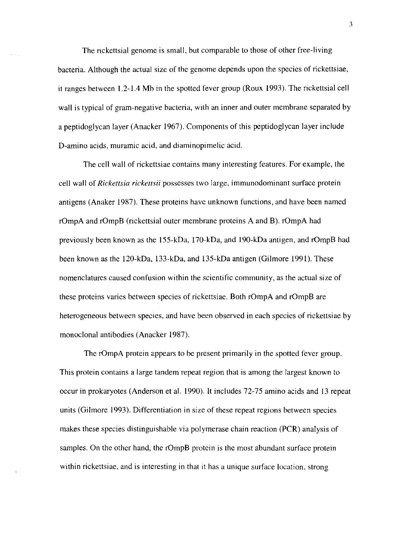The rickettsial genome is small, but comparable to those of other free-living bacteria. Although the actual size of the genome depends upon the species of rickettsiae, it ranges between 1.2-l.4 Mb in the spotted fever group (Roux 1993). The rickettsial cell wall is typical of gram-negative bacteria, with an inner and outer membrane separated by a peptidoglycan layer (Anacker 1967). Components of this peptidoglycan layer include D-amino acids, muramic acid, and diaminopimelic acid.

The cell wall of rickettsiae contains many interesting features. For example, the cell wall of *Rickettsia rickettsii* possesses two large, immunodominant surface protein antigens (Anaker 1987). These proteins have unknown functions, and have been named rOmpA and rOmpB (rickettsial outer membrane proteins A and B). rOmpA had previously been known as the 155-kDa, 170-kDa, and 190-kDa antigen, and rOmpB had been known as the 120-kDa, 133-kDa, and 135-kDa antigen (Gilmore 1991). These nomenclatures caused confusion within the scientific community, as the actual size of these proteins varies between species of rickettsiae. Both rOmpA and rOmpB are heterogeneous between species, and have been observed in each species of rickettsiae by monoclonal antibodies (Anacker 1987).

The rOmpA protein appears to be present primarily in the spotted fever group. This protein contains a large tandem repeat region that is among the largest known to occur in prokaryotes (Anderson et al. 1990). It includes 72-75 amino acids and 13 repeat units (Gilmore 1993). Differentiation in size of these repeat regions between species makes these species distinguishable via polymerase chain reaction (PCR) analysis of samples. On the other hand, the rOmpB protein is the most abundant surface protein within rickettsiae, and is interesting in that it has a unique surface location, strong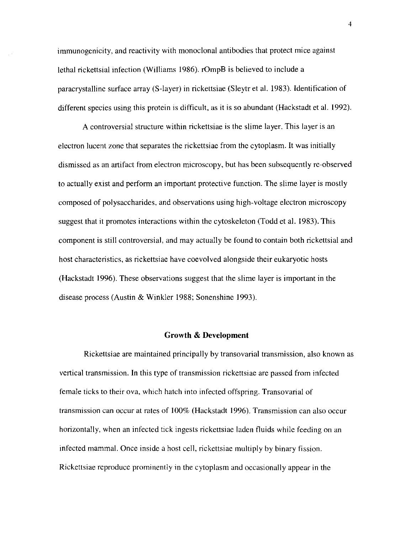immunogenicity, and reactivity with monoclonal antibodies that protect mice against lethal rickettsial infection (Williams 1986). rOmpB is believed to include a paracrystalline surface array (S-Iayer) in rickettsiae (Sleytr et al. 1983). Identification of different species using this protein is difficult, as it is so abundant (Hackstadt et al. 1992).

A controversial structure within rickettsiae is the slime layer. This layer is an electron lucent zone that separates the rickettsiae from the cytoplasm. It was initially dismissed as an artifact from electron microscopy, but has been subsequently re-observed to actually exist and perform an important protective function. The slime layer is mostly composed of polysaccharides, and observations using high-voltage electron microscopy suggest that it promotes interactions within the cytoskeleton (Todd et al. 1983). This component is still controversial, and may actually be found to contain both rickettsial and host characteristics, as rickettsiae have coevolved alongside their eukaryotic hosts (Hackstadt 1996). These observations suggest that the slime layer is important in the disease process (Austin & Winkler 1988; Sonenshine 1993).

#### **Growth & Development**

Rickettsiae are maintained principally by transovaria1 transmission, also known as vertical transmission. **In** this type of transmission rickettsiae are passed from infected female ticks to their ova, which hatch into infected offspring. Transovarial of transmission can occur at rates of 100% (Hackstadt 1996). Transmission can also occur horizontally, when an infected tick ingests rickettsiae laden fluids while feeding on an infected mammal. Once inside a host cell, rickettsiae multiply by binary fission. Rickettsiae reproduce prominently in the cytoplasm and occasionally appear in the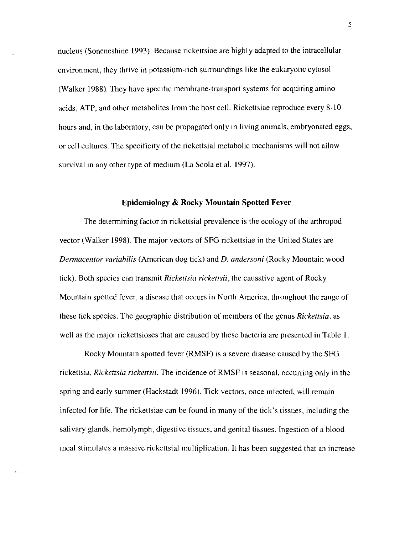nucleus (Soneneshine 1993). Because rickettsiae are highly adapted to the intracellular environment, they thrive in potassium-rich surroundings like the eukaryotic cytosol (Walker 1988). They have specific membrane-transport systems for acquiring amino acids, A TP, and other metabolites from the host cell. Rickettsiae reproduce every 8-10 hours and, in the laboratory, can be propagated only in living animals, embryonated eggs, or cell cultures. The specificity of the rickettsial metabolic mechanisms will not allow survival in any other type of medium (La Scola et al. 1997).

# **Epidemiology & Rocky Mountain Spotted Fever**

The determining factor in rickettsial prevalence is the ecology of the arthropod vector (Walker 1998). The major vectors of SFG rickettsiae in the United States are *Dennacentor variabilis* (American dog tick) and *D. andersoni* (Rocky Mountain wood tick). Both species can transmit *Rickettsia rickettsii,* the causative agent of Rocky Mountain spotted fever, a disease that occurs in North America, throughout the range of these tick species. The geographic distribution of members of the genus *Rickettsia,* as well as the major rickettsioses that are caused by these bacteria are presented in Table 1.

Rocky Mountain spotted fever (RMSF) is a severe disease caused by the SFG rickettsia, *Rickettsia rickettsii.* The incidence of RMSF is seasonal, occurring only in the spring and early summer (Hackstadt 1996). Tick vectors, once infected, will remain infected for life. The rickettsiae can be found in many of the tick's tissues, including the salivary glands, hemolymph, digestive tissues, and genital tissues. Ingestion of a blood meal stimulates a massive rickettsial multiplication. It has been suggested that an increase

5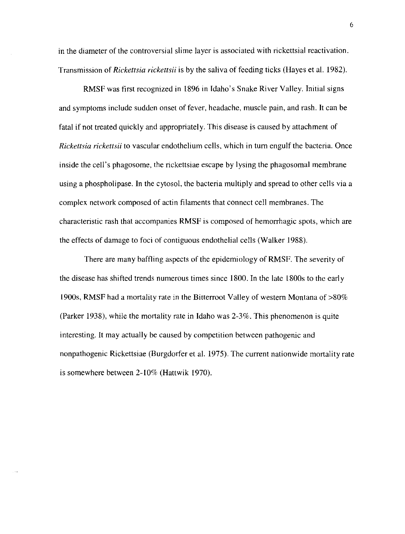in the diameter of the controversial slime layer is associated with rickettsial reactivation. Transmission of *Rickettsia rickettsii* is by the saliva of feeding ticks (Hayes et al. 1982).

RMSF was first recognized in 1896 in Idaho's Snake River Valley. Initial signs and symptoms include sudden onset of fever, headache, muscle pain, and rash. It can be fatal if not treated quickly and appropriately. This disease is caused by attachment of *Rickettsia rickettsii* to vascular endothelium cells, which in tum engulf the bacteria. Once inside the ceIl's phagosome, the rickettsiae escape by I ysing the phagosomal membrane using a phospholipase. **In** the cytosol, the bacteria mUltiply and spread to other cells via a complex network composed of actin filaments that connect cell membranes. The characteristic rash that accompanies RMSF is composed of hemorrhagic spots, which are the effects of damage to foci of contiguous endothelial cells (Walker 1988).

There are many baffling aspects of the epidemiology of RMSF. The severity of the disease has shifted trends numerous times since 1800. **In** the late 1800s to the early 1900s, RMSF had a mortality rate in the Bitterroot Valley of western Montana of >80% (Parker 1938), while the mottality rate in Idaho was 2-3%. This phenomenon is quite interesting. It may actually be caused by competition between pathogenic and nonpathogenic Rickettsiae (Burgdorfer et al. 1975). The current nationwide mortality rate is somewhere between 2-10% (Hattwik 1970).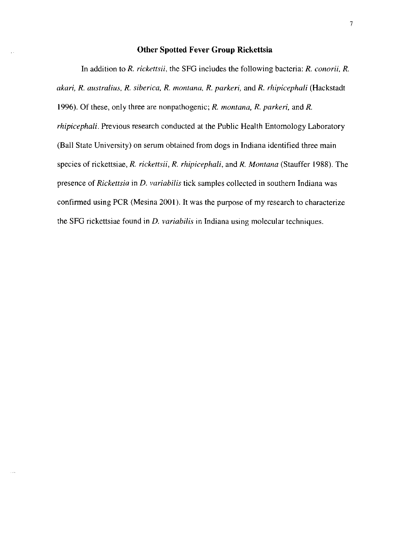#### **Other Spotted Fever Group Rickettsia**

In addition to *R. rickettsii,* the SFO includes the following bacteria: *R. conorii, R. akari, R. austral ius, R. siberica,* R. *montana, R. parkeri,* and *R. rhipicephali* (Hackstadt \996). Of these, only three are nonpathogenic; *R. montana, R. parkeri,* and *R. rhipicephali.* Previous research conducted at the Public Health Entomology Laboratory (Ball State University) on serum obtained from dogs in Indiana identified three main species of rickettsiae, *R. rickettsii, R. rhipicephali,* and *R. Montana* (Stauffer \988). The presence of *Rickettsia* in D. *variabilis* tick samples collected in southern Indiana was confirmed using PCR (Mesina 2001). It was the purpose of my research to characterize the SFO rickettsiae found in D. *variabilis* in Indiana using molecular techniques.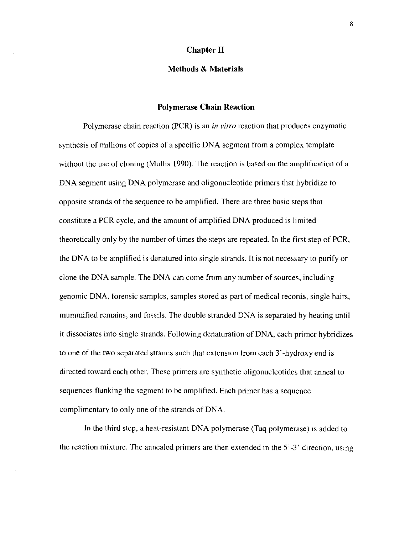# **Chapter II**

# **Methods & Materials**

#### **Polymerase Chain Reaction**

Polymerase chain reaction (PCR) is an *in vitro* reaction that produces enzymatic synthesis of millions of copies of a specific DNA segment from a complex template without the use of cloning (Mullis 1990). The reaction is based on the amplification of a DNA segment using DNA polymerase and oligonucleotide primers that hybridize to opposite strands of the sequence to be amplified. There are three basic steps that constitute a PCR cycle, and the amount of amplified DNA produced is limited theoretically only by the number of times the steps are repeated. In the first step of PCR, the DNA to be amplified is denatured into single strands. It is not necessary to purify or clone the DNA sample. The DNA can come from any number of sources, including genomic DNA, forensic samples, samples stored as part of medical records, single hairs, mummified remains, and fossils. The double stranded DNA is separated by heating until it dissociates into single strands. Following denaturation of DNA, each primer hybridizes to one of the two separated strands such that extension from each 3' -hydroxy end is directed toward each other. These primers are synthetic oligonucleotides that anneal to sequences flanking the segment to be amplified. Each primer has a sequence complimentary to only one of the strands of DNA.

In the third step, a heat-resistant DNA polymerase (Taq polymerase) is added to the reaction mixture. The annealed primers are then extended in the 5' -3' direction, using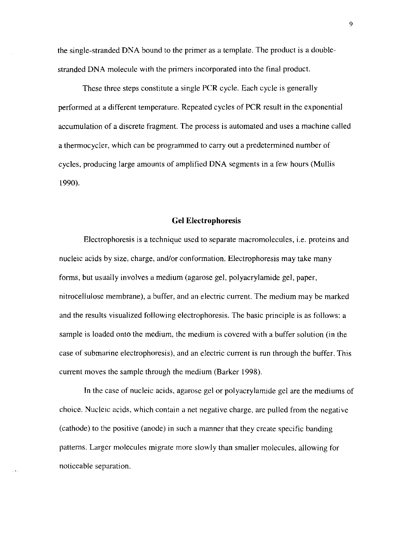the single-stranded DNA bound to the primer as a template. The product is a doublestranded DNA molecule with the primers incorporated into the final product.

These three steps constitute a single PCR cycle. Each cycle is generally performed at a different temperature. Repeated cycles of PCR result in the exponential accumulation of a discrete fragment. The process is automated and uses a machine called a thermocycler, which can be programmed to carry out a predetermined number of cycles, producing large amounts of amplified DNA segments in a few hours (Mullis 1990).

#### **Gel Electrophoresis**

Electrophoresis is a technique used to separate macromolecules, i.e. proteins and nucleic acids by size, charge, and/or conformation. Electrophoresis may take many forms, but usually involves a medium (agarose gel, polyacrylamide gel, paper, nitrocellulose membrane), a buffer, and an electric current. The medium may be marked and the results visualized following electrophoresis. The basic principle is as follows: a sample is loaded onto the medium, the medium is covered with a buffer solution (in the case of submarine electrophoresis), and an electric current is run through the buffer. This current moves the sample through the medium (Barker 1998).

**In** the case of nucleic acids, agarose gel or polyacrylamide gel are the mediums of choice. Nucleic acids, which contain a net negative charge, are pulled from the negative (cathode) to the positive (anode) in such a manner that they create specific banding patterns. Larger molecules migrate more slowly than smaller molecules, allowing for noticeable separation.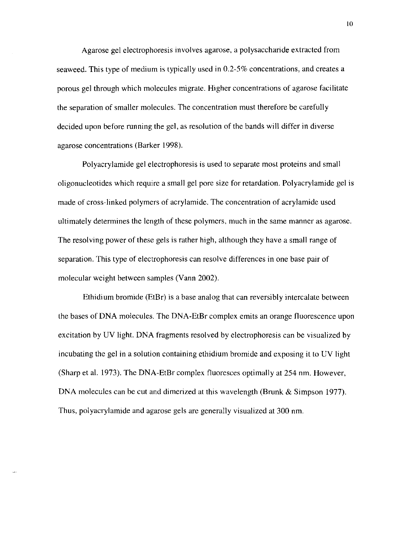Agarose gel electrophoresis involves agarose, a polysaccharide extracted from seaweed. This type of medium is typically used in 0.2-5% concentrations, and creates a porous gel through which molecules migrate. Higher concentrations of agarose facilitate the separation of smaller molecules. The concentration must therefore be carefully decided upon before running the gel, as resolution of the bands will differ in diverse agarose concentrations (Barker 1998).

Polyacrylamide gel electrophoresis is used to separate most proteins and small oligonucleotides which require a small gel pore size for retardation. Polyacrylamide gel is made of cross-linked polymers of acrylamide. The concentration of acrylamide used ultimately determines the length of these polymers, much in the same manner as agarose. The resolving power of these gels is rather high, although they have a small range of separation. This type of electrophoresis can resolve differences in one base pair of molecular weight between samples (Vann 2002).

Ethidium bromide (EtBr) is a base analog that can reversibly intercalate between the bases of DNA molecules. The DNA-EtBr complex emits an orange fluorescence upon excitation by UV light. DNA fragments resolved by electrophoresis can be visualized by incubating the gel in a solution containing ethidium bromide and exposing it to UV light (Sharp et al. 1973). The DNA-EtBr complex fluoresces optimally at 254 nm. However, DNA molecules can be cut and dimerized at this wavelength (Brunk & Simpson 1977). Thus, polyacrylamide and agarose gels are generally visualized at 300 nm.

10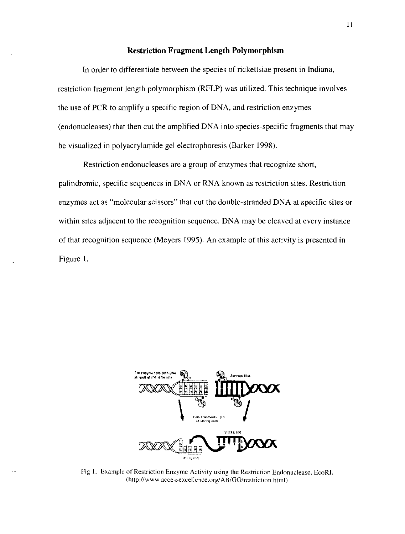# **Restriction Fragment Length Polymorphism**

In order to differentiate between the species of rickettsiae present in Indiana, restriction fragment length polymorphism (RFLP) was utilized. This technique involves the use of PCR to amplify a specific region of DNA, and restriction enzymes (endonucleases) that then cut the amplified DNA into species-specific fragments that may be visualized in polyacrylamide gel electrophoresis (Barker 1998).

Restriction endonucleases are a group of enzymes that recognize short, palindromic, specific sequences in DNA or RNA known as restriction sites. Restriction enzymes act as "molecular scissors" that cut the double-stranded DNA at specific sites or within sites adjacent to the recognition sequence. DNA may be cleaved at every instance of that recognition sequence (Meyers 1995). An example of this activity is presented in Figure I.



**Fig 1. Example of Restriction Enzyme Activity using the Restriction Endonuclease, EcoRL**   $(http://www.accessexcellence.org/AB/GG/restriction.html)$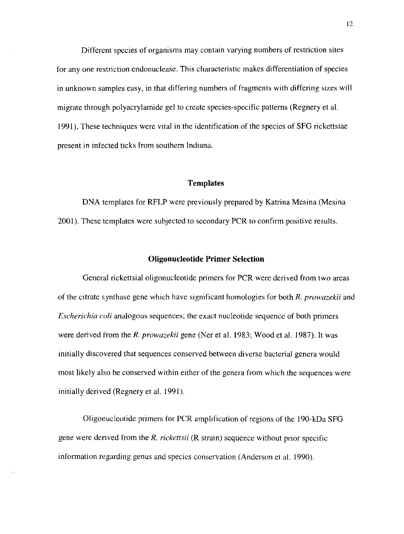Different species of organisms may contain varying numbers of restriction sites for anyone restriction endonuclease. This characteristic makes differentiation of species in unknown samples easy, in that differing numbers of fragments with differing sizes will migrate through polyacrylamide gel to create species-specific patterns (Regnery et al. 1991). These techniques were vital in the identification of the species of SFG rickettsiae present in infected ticks from southern Indiana.

#### **Templates**

DNA templates for **RFLP** were previously prepared by Katrina Mesina (Mesina 2001). These templates were subjected to secondary PCR to confirm positive results.

#### **Oligonucleotide Primer Selection**

General rickettsial oligonucleotide primers for PCR were derived from two areas of the citrate synthase gene which have significant homologies for both *R. prowazekii* and *Escherichia coli* analogous sequences; the exact nucleotide sequence of both primers were derived from the R. *prowazekii* gene (Ner et al. 1983; Wood et al. 1987). It was initially discovered that sequences conserved between diverse bacterial genera would most likely also be conserved within either of the genera from which the sequences were initially derived (Regnery et al. 1991).

Oligonucleotide primers for PCR amplification of regions of the 190-kDa SFG gene were derived from the *R. rickettsii* (R strain) sequence without prior specific information regarding genus and species conservation (Anderson et al. 1990).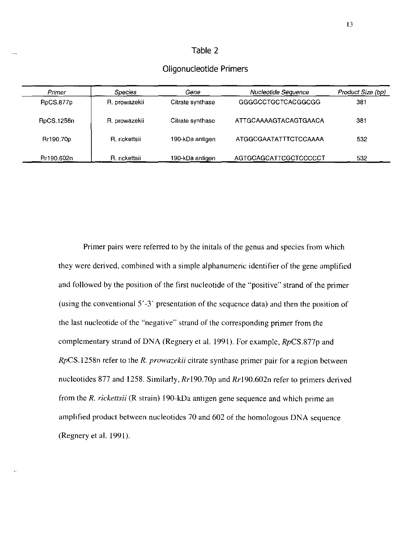# **Table** 2

# **Primer Constanting Primer Constanting Species Cene <b>Constanting Constanting Constanting Constanting Species** Constanting Constanting Constanting Constanting Constanting Constanting Constanting Constanting Constanting RpCS.877p **R. prowazekii** Citrate synthase GGGGCCTGCTCACGGCGG 381 RpCS.1258n **R. prowazekii** Citrate synthase ATTGCAAAAGTACAGTGAACA 381 Rr190.70p **R. rickettsji** 190-kDa antigen ATGGCGAATATTTCTCCAAAA 532 Rr190.602n **R. rickettsii 190-kDa antigen AGTGCAGCATTCGCTCCCCCT** 532

# **Oligonucleotide Primers**

Primer pairs were referred to by the initals of the genus and species from which they were derived, combined with a simple alphanumeric identifier of the gene amplified and followed by the position of the first nucleotide of the "positive" strand of the primer (using the conventional 5' -3' presentation of the sequence data) and then the position of the last nucleotide of the "negative" strand of the corresponding primer from the complementary strand of DNA (Regnery et al. 1991). For example, *RpCS.877p* and *RpCS.1258n* refer to the *R. prowazekii* citrate synthase primer pair for a region between nucleotides 877 and 1258. Similarly, *Rrl90.70p* and *Rr190.602n* refer to primers derived from the *R. rickettsii* (R strain) 190-kDa antigen gene sequence and which prime an amplified product between nucleotides 70 and 602 of the homologous DNA sequence (Regnery et al. 1991).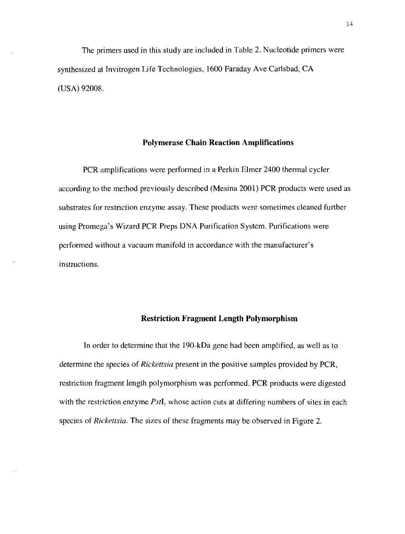The primers used in this study are included in Table 2. Nucleotide primers were synthesized at Invitrogen Life Technologies, 1600 Faraday Ave Carlsbad, CA (USA) 92008.

#### **Polymerase Chain Reaction Amplifications**

PCR amplifications were performed in a Perkin Elmer 2400 thermal cycler according to the method previously described (Mesina 2001) PCR products were used as substrates for restriction enzyme assay. These products were sometimes cleaned further using Promega's Wizard PCR Preps DNA Purification System. Purifications were performed without a vacuum manifold in accordance with the manufacturer's instructions.

# **Restriction Fragment Length Polymorphism**

In order to determine that the 190-kDa gene had been amplified, as well as to determine the species of *Rickettsia* present in the positive samples provided by PCR, restriction fragment length polymorphism was performed. PCR products were digested with the restriction enzyme *PstI,* whose action cuts at differing numbers of sites in each species of *Rickettsia.* The sizes of these fragments may be observed in Figure 2.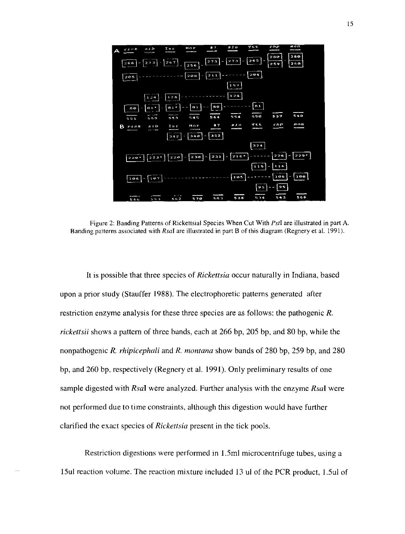

**Figure 2: Banding Patterns of Rickettsial Species When Cut With** *PstI* **are illustrated in part A.**  Banding patterns associated with *RsaI* are illustrated in part B of this diagram (Regnery et al. 1991).

It is possible that three species of *Rickettsia* occur naturally in Indiana, based upon a prior study (Stauffer 1988). The electrophoretic patterns generated after restriction enzyme analysis for these three species are as follows: the pathogenic *R. rickettsii* shows a pattern of three bands, each at 266 bp, 205 bp, and 80 bp, while the nonpathogenic *R. rhipicephali* and *R. montana* show bands of 280 bp, 259 bp, and 280 bp, and 260 bp, respectively (Regnery et al. 1991). Only preliminary results of one sample digested with *RsaI* were analyzed. Further analysis with the enzyme *RsaI* were not performed due to time constraints, although this digestion would have further clarified the exact species of *Rickettsia* present in the tick pools.

Restriction digestions were performed in 1.5ml microcentrifuge tubes, using a 15ul reaction volume. The reaction mixture included 13 ul of the PCR product, 1.5ul of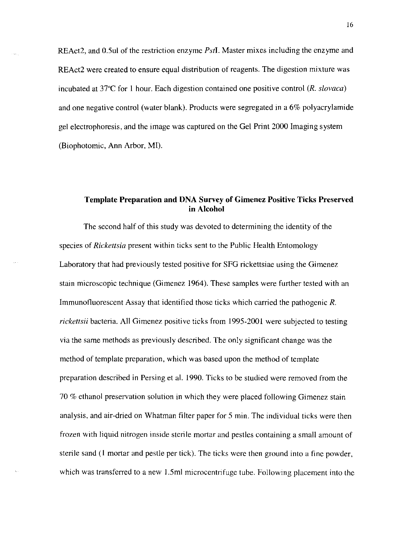REAct2, and O.Sul of the restriction enzyme *PstI.* Master mixes including the enzyme and REAct2 were created to ensure equal distribution of reagents. The digestion mixture was incubated at 37"C for I hour. Each digestion contained one positive control *(R. slovaca)*  and one negative control (water blank). Products were segregated in a 6% polyacrylamide gel electrophoresis, and the image was captured on the Gel Print 2000 Imaging system (Biophotomic, Ann Arbor, MI).

# **Template Preparation and DNA Survey of Gimenez Positive Ticks Preserved in Alcohol**

The second half of this study was devoted to determining the identity of the species of *Rickettsia* present within ticks sent to the Public Health Entomology Laboratory that had previously tested positive for SFG rickettsiae using the Gimenez stain microscopic technique (Gimenez 1964). These samples were further tested with an Immunofluorescent Assay that identified those ticks which carried the pathogenic *R. rickettsii* bacteria. All Gimenez positive ticks from 1995-2001 were subjected to testing via the same methods as previously described. The only significant change was the method of template preparation, which was based upon the method of template preparation described in Persing et al. 1990. Ticks to be studied were removed from the 70 % ethanol preservation solution in which they were placed following Gimenez stain analysis, and air-dried on Whatman filter paper for 5 min. The individual ticks were then frozen with liquid nitrogen inside sterile mortar and pestles containing a small amount of sterile sand (I mortar and pestle per tick). The ticks were then ground into a fine powder, which was transferred to a new 1.5ml microcentrifuge tube. Following placement into the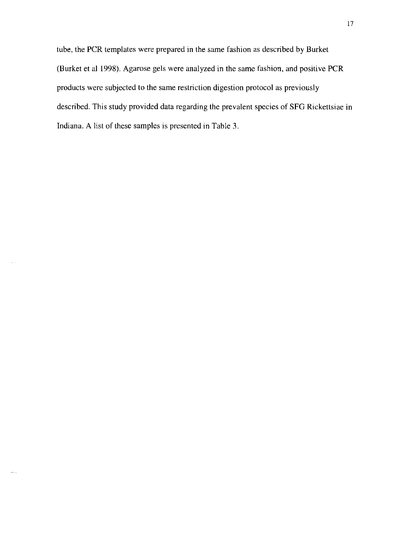tube, the PCR templates were prepared in the same fashion as described by Burket (Burket et al 1998), Agarose gels were analyzed in the same fashion, and positive PCR products were subjected to the same restriction digestion protocol as previously described, This study provided data regarding the prevalent species of SFG Rickettsiae in Indiana. A list of these samples is presented in Table 3.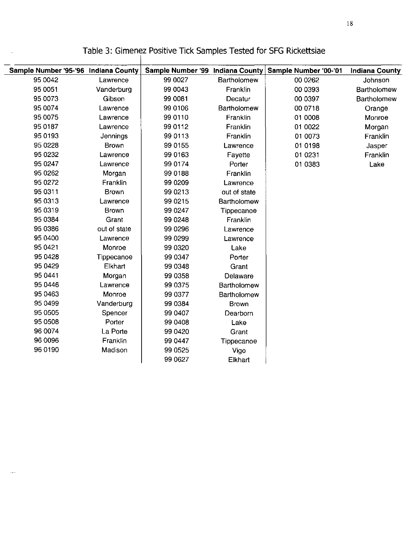$\overline{\phantom{0}}$ 

متمر

| Sample Number '95-'96 Indiana County |              | Sample Number '99 Indiana County |              | Sample Number '00-'01 | <b>Indiana County</b> |  |
|--------------------------------------|--------------|----------------------------------|--------------|-----------------------|-----------------------|--|
| 95 0042                              | Lawrence     | 99 0027                          | Bartholomew  | 00 0262               | Johnson               |  |
| 95 0051                              | Vanderburg   | 99 0043                          | Franklin     | 00 0393               | Bartholomew           |  |
| 95 0073                              | Gibson       | 99 0081                          | Decatur      | 00 0397               | Bartholomew           |  |
| 95 0074                              | Lawrence     | 99 0106                          | Bartholomew  | 00 0718               | Orange                |  |
| 95 0075                              | Lawrence     | 99 0110                          | Franklin     | 01 0008               | Monroe                |  |
| 95 0187                              | Lawrence     | 99 0112                          | Franklin     | 01 0022               | Morgan                |  |
| 95 0193                              | Jennings     | 99 0113                          | Franklin     | 01 0073               | Franklin              |  |
| 95 0228                              | <b>Brown</b> | 99 0155                          | Lawrence     | 01 0198               | Jasper                |  |
| 95 0232                              | Lawrence     | 99 0163                          | Fayette      | 01 0231               | Franklin              |  |
| 95 0247                              | Lawrence     | 99 0174                          | Porter       | 01 0383               | Lake                  |  |
| 95 0262                              | Morgan       | 99 0188                          | Franklin     |                       |                       |  |
| 95 0272                              | Franklin     | 99 0 209                         | Lawrence     |                       |                       |  |
| 95 0311                              | <b>Brown</b> | 99 0213                          | out of state |                       |                       |  |
| 95 0313                              | Lawrence     | 99 0215                          | Bartholomew  |                       |                       |  |
| 95 0319                              | <b>Brown</b> | 99 0247                          | Tippecanoe   |                       |                       |  |
| 95 0384                              | Grant        | 99 0248                          | Franklin     |                       |                       |  |
| 95 0386                              | out of state | 99 0 296                         | Lawrence     |                       |                       |  |
| 95 0400                              | Lawrence     | 99 0299                          | Lawrence     |                       |                       |  |
| 95 04 21                             | Monroe       | 99 0320                          | Lake         |                       |                       |  |
| 95 04 28                             | Tippecanoe   | 99 0347                          | Porter       |                       |                       |  |
| 95 04 29                             | Elkhart      | 99 0348                          | Grant        |                       |                       |  |
| 95 0441                              | Morgan       | 99 0358                          | Delaware     |                       |                       |  |
| 95 0446                              | Lawrence     | 99 0375                          | Bartholomew  |                       |                       |  |
| 95 0463                              | Monroe       | 99 0377                          | Bartholomew  |                       |                       |  |
| 95 0499                              | Vanderburg   | 99 0384                          | <b>Brown</b> |                       |                       |  |
| 95 0505                              | Spencer      | 99 0407                          | Dearborn     |                       |                       |  |
| 95 0508                              | Porter       | 99 0408                          | Lake         |                       |                       |  |
| 96 0074                              | La Porte     | 99 04 20                         | Grant        |                       |                       |  |
| 96 0096                              | Franklin     | 99 0447                          | Tippecanoe   |                       |                       |  |
| 96 0190                              | Madison      | 99 0525                          | Vigo         |                       |                       |  |
|                                      |              | 99 0627                          | Elkhart      |                       |                       |  |
|                                      |              |                                  |              |                       |                       |  |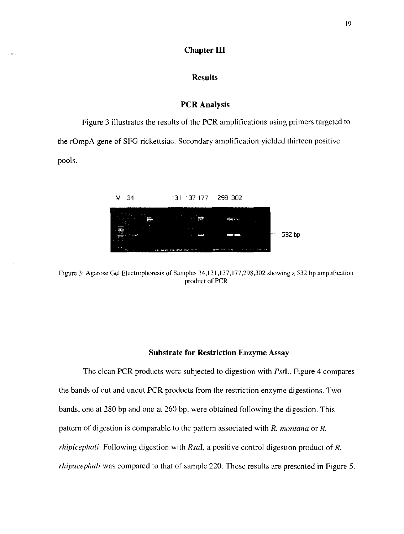# **Chapter III**

# **Results**

## **PCR Analysis**

Figure 3 illustrates the results of the PCR amplifications using primers targeted to the rOmpA gene of SFG rickettsiae. Secondary amplification yielded thirteen positive pools.



Figure 3: Agarose Gel Electrophoresis of Samples 34,131,137,177 ,298,302 showing a 532 bp amplification product of PCR

#### **Substrate for Restriction Enzyme Assay**

The clean peR products were subjected to digestion with *Pstl..* Figure 4 compares the bands of cut and uncut **peR** products from the restriction enzyme digestions. Two bands, one at 280 bp and one at 260 bp, were obtained following the digestion. This pattern of digestion is comparable to the pattern associated with *R. montana* or *R. rhipicephali.* Following digestion with *RsaI,* a positive control digestion product of *R. rhipacephali* was compared to that of sample 220. These results are presented in Figure 5.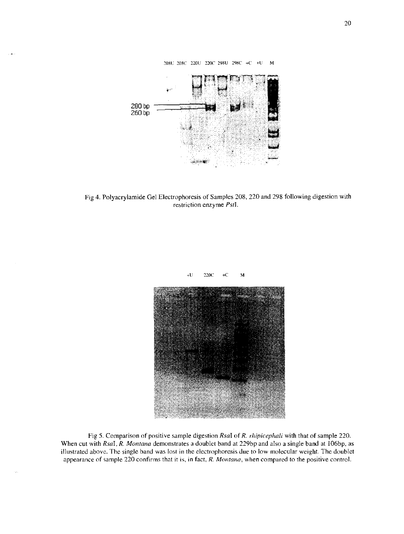

Fig 4. Polyacrylamide Gel Electrophoresis of Samples 208, 220 and 298 following digestion with restriction enzyme *PstI.* 



Fig 5. Comparison of positive sample digestion *RsaI* of *R. rhipicephali* with that of sample 220. When cut with *RsaI, R. Montana* demonstrates a doublet band at 229bp and also a single band at 106bp, as illustrated above. The single band was lost in the electrophoresis due to low molecular weight. The doublet appearance of sample 220 confirms that it is, **in** fact, *R. Montana,* when compared to the positive control.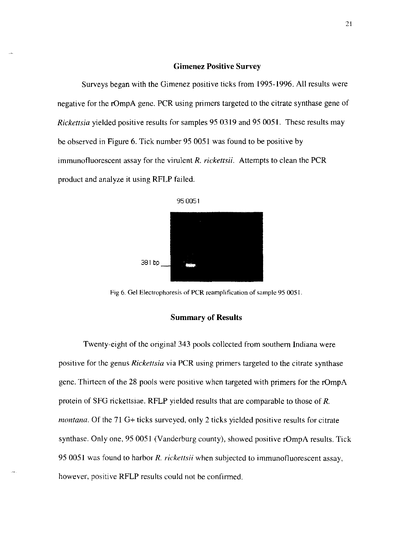#### **Gimenez Positive Survey**

Surveys began with the Gimenez positive ticks from 1995-1996. All results were negative for the rOmpA gene. PCR using primers targeted to the citrate synthase gene of *Rickettsia* yielded positive results for samples 95 0319 and 950051. These results may be observed in Figure 6. Tick number 95 0051 was found to be positive by immunofluorescent assay for the virulent *R. rickettsii.* Attempts to clean the PCR product and analyze it using RFLP failed.



Fig 6. Gel Electrophoresis of PCR reamplification of sample 95 0051.

#### **Summary of Results**

Twenty-eight of the original 343 pools collected from southern Indiana were positive for the genus *Rickettsia* via PCR using primers targeted to the citrate synthase gene. Thirteen of the 28 pools were positive when targeted with primers for the rOmpA protein of SFG rickettsiae. RFLP yielded results that are comparable to those of R. *montana.* Of the 71 G+ ticks surveyed, only 2 ticks yielded positive results for citrate synthase. Only one, 95 0051 (Vanderburg county), showed positive rOmpA results. Tick 950051 was found to harbor R. *rickettsii* when subjected to immunofluorescent assay, however, positive RFLP results could not be confirmed.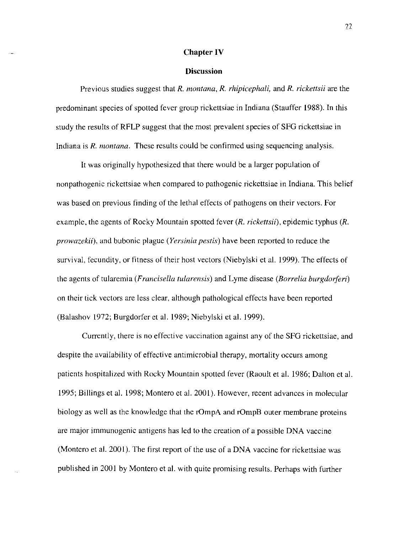#### **Chapter IV**

#### **Discussion**

Previous studies suggest that *R. montana, R. rhipicephali,* and *R. rickettsii* are the predominant species of spotted fever group rickettsiae in Indiana (Stauffer 1988). In this study the results of RFLP suggest that the most prevalent species of SFG rickettsiae in Indiana is *R. montana.* These results could be confirmed using sequencing analysis.

It was originally hypothesized that there would be a larger population of nonpathogenic rickettsiae when compared to pathogenic rickettsiae in Indiana. This belief was based on previous finding of the lethal effects of pathogens on their vectors. For example, the agents of Rocky Mountain spotted fever *(R. rickettsii),* epidemic typhus *(R. prowazekii),* and bubonic plague *(Yersinia pestis)* have been reported to reduce the survival, fecundity, or fitness of their host vectors (Niebylski et al. 1999). The effects of the agents of tularemia *(Francisella tularensis)* and Lyme disease *(Borrelia burgdorferi)* on their tick vectors are less clear, although pathological effects have been reported (Balashov 1972; Burgdorfer et al. 1989; Niebylski et al. 1999).

Currently, there is no effective vaccination against any of the SFG rickettsiae, and despite the availability of effective antimicrobial therapy, mortality occurs among patients hospitalized with Rocky Mountain spotted fever (Raoult et al. 1986; Dalton et al. 1995; Billings et al. 1998; Montero et al. 2001). However, recent advances in molecular biology as well as the knowledge that the rOmpA and rOmpB outer membrane proteins are major immunogenic antigens has led to the creation of a possible DNA vaccine (Montero et al. 2001). The first report of the use of a DNA vaccine for rickettsiae was published in 2001 by Montero et al. with quite promising results. Perhaps with further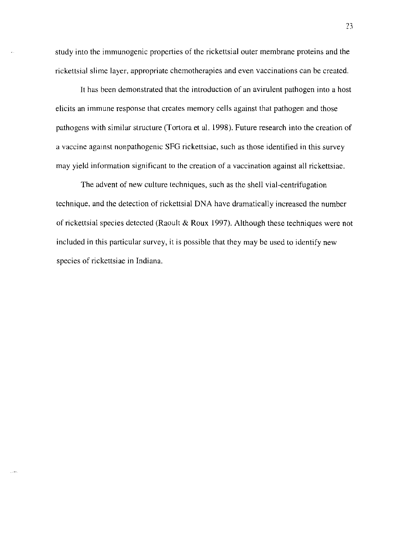study into the immunogenic properties of the rickettsial outer membrane proteins and the rickettsial slime layer, appropriate chemotherapies and even vaccinations can be created.

It has been demonstrated that the introduction of an avirulent pathogen into a host elicits an immune response that creates memory cells against that pathogen and those pathogens with similar structure (Tortora et al. 1998). Future research into the creation of a vaccine against nonpathogenic SFG rickettsiae, such as those identified in this survey may yield information significant to the creation of a vaccination against all rickettsiae.

The advent of new culture techniques, such as the shell vial-centrifugation technique, and the detection of rickettsial DNA have dramatically increased the number of rickettsial species detected (Raoult & Roux 1997). Although these techniques were not included in this particular survey, it is possible that they may be used to identify new species of rickettsiae in Indiana.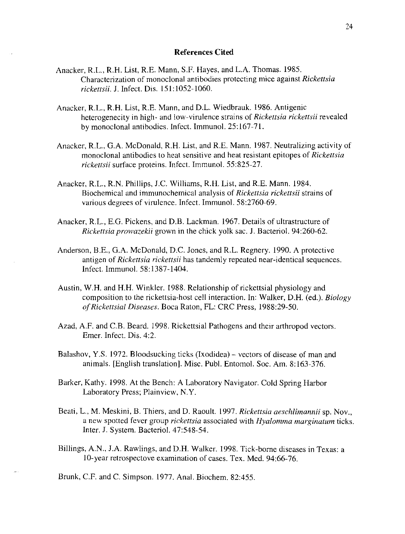## **References Cited**

- Anacker, R.L., R.H. List, R.E. Mann, S.F. Hayes, and L.A. Thomas. 1985. Characterization of monoclonal antibodies protecting mice against *Rickettsia rickettsii.* J. Infect. Dis. 151:1052-1060.
- Anacker, R.L., R.H. List, R.E. Mann, and D.L. Wiedbrauk. 1986. Antigenic heterogenecity in high- and low-virulence strains of *Rickettsia rickettsii* revealed by monoclonal antibodies. Infect. Immunol. 25:167-71.
- Anacker, R.L., G.A. McDonald, R.H. List, and R.E. Mann. 1987. Neutralizing activity of monoclonal antibodies to heat sensitive and heat resistant epitopes of *Rickettsia rickettsii* surface proteins. Infect. Immunol. 55:825-27.
- Anacker, R.L., R.N. Phillips, J.C. Williams, R.H. List, and R.E. Mann. 1984. Biochemical and immunochemical analysis of *Rickettsia rickettsii* strains of various degrees of virulence. Infect. Immunol. 58:2760-69.
- Anacker, R.L., E.G. Pickens, and D.B. Lackman. 1967. Details of ultrastructure of *Rickettsia prowazekii* grown in the chick yolk sac. J. Bacteriol. 94:260-62.
- Anderson, B.E., G.A. McDonald, D.C. Jones, and R.L. Regnery. 1990. A protective antigen of *Rickettsia rickettsii* has tandemly repeated near-identical sequences. Infect. lmmunol. 58:1387-1404.
- Austin, W.H. and H.H. Winkler. 1988. Relationship of rickettsial physiology and composition to the rickettsia-host cell interaction. In: Walker, D.H. (ed.). *Biology of Rickettsial Diseases.* Boca Raton, FL: CRC Press, 1988:29-50.
- Azad, A.F. and C.B. Beard. 1998. Rickettsial Pathogens and their arthropod vectors. Emer. Infect. Dis. 4:2.
- Balashov, Y.S. 1972. Bloodsucking ticks (Ixodidea) vectors of disease of man and animals. [English translation]. Misc. Publ. Entomol. Soc. Am. 8:163-376.
- Barker, Kathy. 1998. At the Bench: A Laboratory Navigator. Cold Spring Harbor Laboratory Press; Plainview, N.Y.
- Beati, L., M. Meskini, B. Thiers, and D. Raoult. 1997. *Rickettsia aeschlimannii* sp. Nov., a new spotted fever group *rickettsia* associated with *Hyalomma marginatum* ticks. Inter. J. System. Bacteriol. 47:548-54.
- Billings, A.N., J.A. Rawlings, and D.H. Walker. 1998. Tick-borne diseases in Texas: a 1O-year retrospectove examination of cases. Tex. Med. 94:66-76.

Brunk, C.F. and C. Simpson. 1977. Anal. Biochem. 82:455.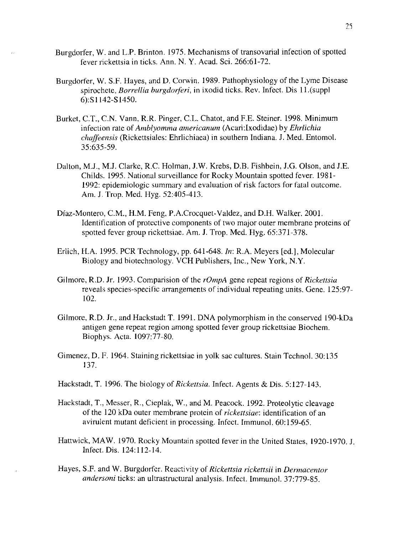- Burgdorfer, W. and L.P. Brinton. 1975. Mechanisms of transovarial infection of spotted fever rickettsia in ticks. Ann. N. Y. Acad. Sci. 266:61-72.
- Burgdorfer, W. S.F. Hayes, and D. Corwin. 1989. Pathophysiology of the Lyme Disease spirochete, *Borrellia burgdorferi,* in ixodid ticks. Rev. Infect. Dis 11.(suppl 6):SI142-S1450.
- Burket, C.T., C.N. Vann, R.R. Pinger, C.L. Chatot, and F.E. Steiner. 1998. Minimum infection rate of *Amblyomma americanum* (Acari:lxodidae) by *Ehrlichia chaffeensis* (Rickettsiales: Ehrlichiaea) in southern Indiana. J. Med. Entomo!. 35:635-59.
- Dalton, M.J., MJ. Clarke, R.c. Holman, J.W. Krebs, D.B. Fishbein, J.G. Olson, and J.E. Childs. 1995. National surveillance for Rocky Mountain spotted fever. 1981- 1992: epidemiologic summary and evaluation of risk factors for fatal outcome. Am. J. Trop. Med. Hyg. 52:405-413.
- Diaz-Montero, C.M., H.M. Feng, P.A.Crocquet-Valdez, and D.H. Walker. 2001. Identification of protective components of two major outer membrane proteins of spotted fever group rickettsiae. Am. J. Trop. Med. Hyg. 65:371-378.
- Erlich, H.A. 1995. PCR Technology, pp. 641-648. *In:* R.A. Meyers [ed.], Molecular Biology and biotechnology. VCH Publishers, Inc., New York, N.Y.
- Gilmore, RD. Jr. 1993. Comparision of the *rOmpA* gene repeat regions of *Rickettsia*  reveals species-specific arrangements of individual repeating units. Gene. 125:97- 102.
- Gilmore, R.D. Jr., and Hackstadt T. 1991. DNA polymorphism in the conserved 190-kOa antigen gene repeat region among spotted fever group rickettsiae Biochem. Biophys. Acta. 1097:77-80.
- Gimenez, D. F. 1964. Staining rickettsiae in yolk sac cultures. Stain Technol. 30:135 137.
- Hackstadt, T. 1996. The biology of *Rickettsia.* Infect. Agents & Dis. 5:127-143.
- Hackstadt, **T.,** Messer, R., Cieplak, W., and M. Peacock. 1992. Proteolytic cleavage of the 120 kDa outer membrane protein of *rickettsiae:* identification of an avirulent mutant deficient in processing. Infect. Immunol. 60:159-65.
- Hattwick, MAW. 1970. Rocky Mountain spotted fever in the United States, 1920-1970. J. Infect. Dis. 124:112-14.
- Hayes, S.F. and W. Burgdorfer. Reactivity of *Rickettsia rickettsii* in *Dermacentor andersoni* ticks: an ultrastructural analysis. Infect. Immuno!. 37:779-85.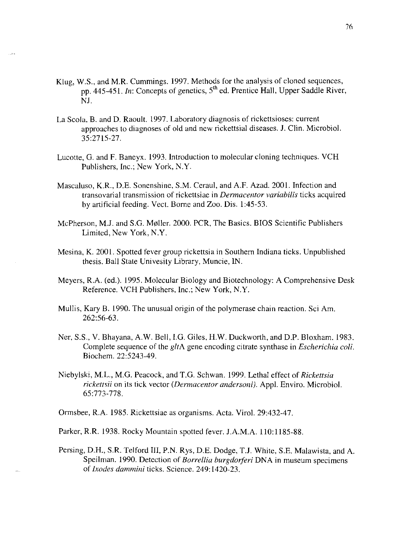- Klug, W.S., and M.R. Cummings. 1997. Methods for the analysis of cloned sequences, pp. 445-451. *In:* Concepts of genetics, 5<sup>th</sup> ed. Prentice Hall, Upper Saddle River, NJ.
- La Scola, B. and D. Raoult. 1997. Laboratory diagnosis of rickettsioses: current approaches to diagnoses of old and new rickettsial diseases. J. Clin. Microbiol. 35:2715-27.
- Lucotte, G. and F. Baneyx. 1993. Introduction to molecular cloning techniques. VCH Publishers, Inc.; New York, N.Y.
- Mascaluso, K.R., D.E. Sonenshine, S.M. Ceraul, and A.F. Azad. 2001. Infection and transovarial transmission of rickettsiae in *Dermacentor variabi/is* ticks acquired by artificial feeding. Vect. Borne and Zoo. Dis. 1:45-53.
- McPherson, M.J. and S.G. M0ller. 2000. PCR, The Basics. BIOS Scientific Publishers Limited, New York, N.Y.
- Mesina, K. 2001. Spotted fever group rickettsia in Southern Indiana ticks. Unpublished thesis. Ball State Univesity Library, Muncie, IN.
- Meyers, R.A. (ed.). 1995. Molecular Biology and Biotechnology: A Comprehensive Desk Reference. VCH Publishers, Inc.; New York, N.Y.
- Mullis, Kary B. 1990. The unusual origin of the polymerase chain reaction. Sci Am. 262:56-63.
- Ner, S.S., V. Bhayana, A.W. Bell, I.G. Giles, HW. Duckworth, and D.P. Bloxham. 1983. Complete sequence of the *gltA* gene encoding citrate synthase in *Escherichia coli.*  Biochem. 22:5243-49.
- Niebylski, M.L., M.G. Peacock, and T.G. Schwan. 1999. Lethal effect of *Rickettsia rickettsii* on its tick vector *(Dermacentor andersoni).* Appl. Enviro. Microbiol. 65:773-778.

Ormsbee, R.A. 1985. Rickettsiae as organisms. Acta. Virol. 29:432-47.

Parker, R.R. 1938. Rocky Mountain spotted fever. J.A.M.A. 110:1185-88.

Persing, D.H., S.R. Telford III, P.N. Rys, D.E. Dodge, TJ. White, S.E. Malawista, and A. Speilman. 1990. Detection of *Borrellia burgdorferi* DNA in museum specimens of *Ixodes dammini* ticks. Science. 249: 1420-23.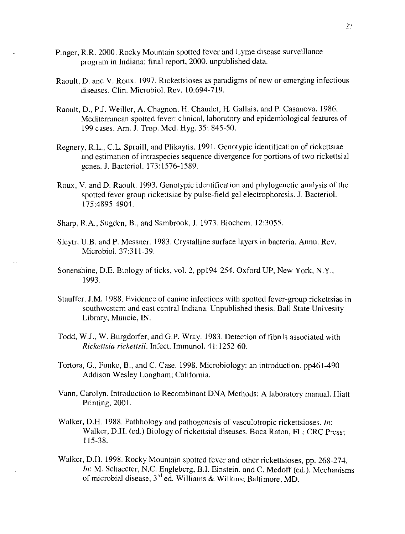- Pinger, R.R. 2000. Rocky Mountain spotted fever and Lyme disease surveillance program in Indiana: final report, 2000. unpublished data.
- Raoult, D. and V. Roux. 1997. Rickettsioses as paradigms of new or emerging infectious diseases. Clin. Microbiol. Rev. 10:694-719.
- Raoult, D., PJ. Weiller, A. Chagnon, H. Chaudet, H. Gallais, and P. Casanova. 1986. Mediterranean spotted fever: clinical, laboratory and epidemiological features of 199 cases. Am. J. Trop. Med. Hyg. 35: 845-50.
- Regnery, R.L., C.L. Spruill, and Plikaytis. 1991. Genotypic identification of rickettsiae and estimation of intraspecies sequence divergence for portions of two rickettsial genes. J. Bacteriol. 173:1576-1589.
- Roux, V. and D. Raoult. 1993. Genotypic identification and phylogenetic analysis of the spotted fever group rickettsiae by pulse-field gel electrophoresis. J. Bacteriol. 175:4895-4904.
- Sharp, R.A., Sugden, B., and Sambrook, J. 1973. Biochem. 12:3055.
- Sleytr, U.B. and P. Messner. 1983. Crystalline surface layers in bacteria. Annu. Rev. Microbiol. 37:311-39.
- Sonenshine, D.E. Biology of ticks, vol. 2, ppI94-254. Oxford UP, New York, N.Y., 1993.
- Stauffer, J.M. 1988. Evidence of canine infections with spotted fever-group rickettsiae in southwestern and east central Indiana. Unpublished thesis. Ball State Univesity Library, Muncie, IN.
- Todd, W.J., W. Burgdorfer, and G.P. Wray. 1983. Detection of fibrils associated with *Rickettsia rickettsii.* Infect. Immunol. 41: 1252-60.
- Tortora, G., Funke, B., and C. Case. 1998. Microbiology: an introduction. pp461-490 Addison Wesley Longham; California.
- Vann, Carolyn. Introduction to Recombinant DNA Methods: A laboratory manual. Hiatt Printing, 2001.
- Walker, D.H. 1988. Pathhology and pathogenesis of vasculotropic rickettsioses. *In*: Walker, D.H. (ed.) Biology of rickettsial diseases. Boca Raton, FL: CRC Press; 115-38.
- Walker, D.H. 1998. Rocky Mountain spotted fever and other rickettsioses, pp. 268-274. *In:* M. Schaecter, N.C. Engleberg, B.I. Einstein, and C. Medoff (ed.). Mechanisms of microbial disease, 3'd ed. Williams & Wilkins; Baltimore, MD.